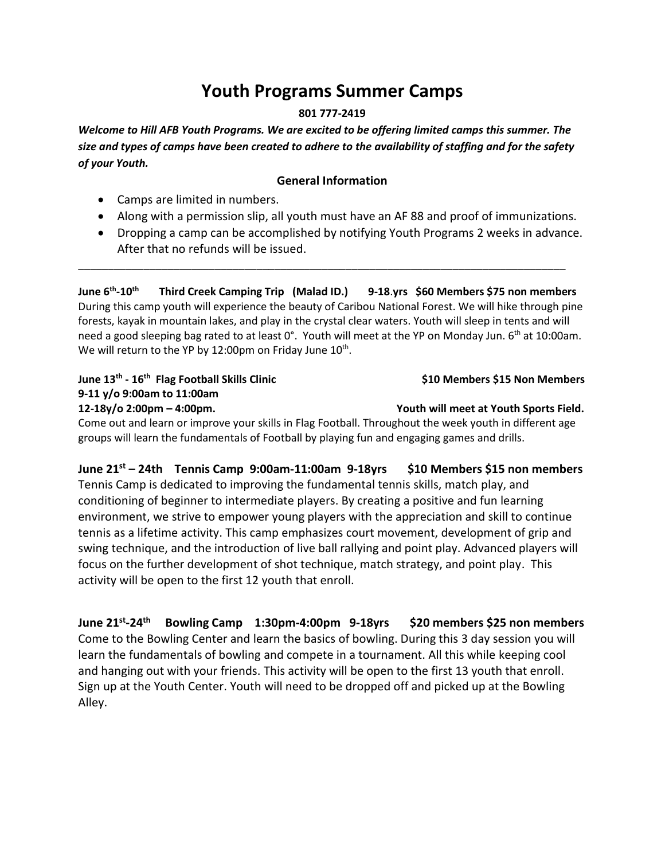# **Youth Programs Summer Camps**

#### **801 777-2419**

*Welcome to Hill AFB Youth Programs. We are excited to be offering limited camps this summer. The size and types of camps have been created to adhere to the availability of staffing and for the safety of your Youth.*

#### **General Information**

- Camps are limited in numbers.
- Along with a permission slip, all youth must have an AF 88 and proof of immunizations.
- Dropping a camp can be accomplished by notifying Youth Programs 2 weeks in advance. After that no refunds will be issued.

**June 6th -10th Third Creek Camping Trip (Malad ID.) 9-18**.**yrs \$60 Members \$75 non members** During this camp youth will experience the beauty of Caribou National Forest. We will hike through pine forests, kayak in mountain lakes, and play in the crystal clear waters. Youth will sleep in tents and will need a good sleeping bag rated to at least 0°. Youth will meet at the YP on Monday Jun. 6<sup>th</sup> at 10:00am. We will return to the YP by 12:00pm on Friday June  $10^{th}$ .

\_\_\_\_\_\_\_\_\_\_\_\_\_\_\_\_\_\_\_\_\_\_\_\_\_\_\_\_\_\_\_\_\_\_\_\_\_\_\_\_\_\_\_\_\_\_\_\_\_\_\_\_\_\_\_\_\_\_\_\_\_\_\_\_\_\_\_\_\_\_\_\_\_\_\_\_\_\_\_\_\_\_

**June 13th - 16th 9-11 y/o 9:00am to 11:00am 12-18y/o 2:00pm – 4:00pm. Youth will meet at Youth Sports Field.** 

 **Flag Football Skills Clinic \$10 Members \$15 Non Members**

Come out and learn or improve your skills in Flag Football. Throughout the week youth in different age groups will learn the fundamentals of Football by playing fun and engaging games and drills.

**June 21st – 24th Tennis Camp 9:00am-11:00am 9-18yrs \$10 Members \$15 non members** Tennis Camp is dedicated to improving the fundamental tennis skills, match play, and conditioning of beginner to intermediate players. By creating a positive and fun learning environment, we strive to empower young players with the appreciation and skill to continue tennis as a lifetime activity. This camp emphasizes court movement, development of grip and swing technique, and the introduction of live ball rallying and point play. Advanced players will focus on the further development of shot technique, match strategy, and point play. This activity will be open to the first 12 youth that enroll.

**June 21 st -24 th Bowling Camp 1:30pm-4:00pm 9-18yrs \$20 members \$25 non members**  Come to the Bowling Center and learn the basics of bowling. During this 3 day session you will learn the fundamentals of bowling and compete in a tournament. All this while keeping cool and hanging out with your friends. This activity will be open to the first 13 youth that enroll. Sign up at the Youth Center. Youth will need to be dropped off and picked up at the Bowling Alley.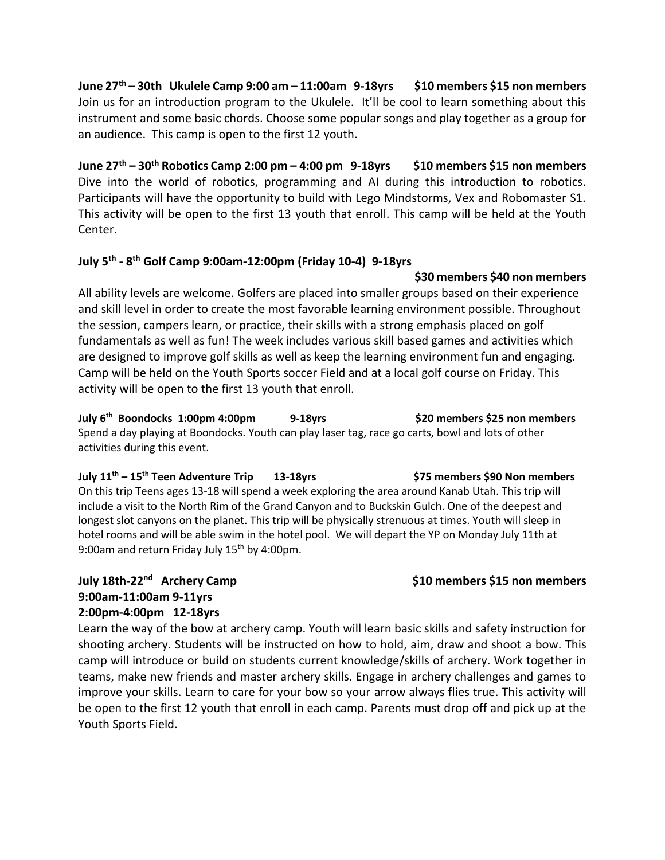**June 27th – 30th Ukulele Camp 9:00 am – 11:00am 9-18yrs \$10 members \$15 non members** Join us for an introduction program to the Ukulele. It'll be cool to learn something about this instrument and some basic chords. Choose some popular songs and play together as a group for an audience. This camp is open to the first 12 youth.

**June 27th – 30th Robotics Camp 2:00 pm – 4:00 pm 9-18yrs \$10 members \$15 non members** Dive into the world of robotics, programming and AI during this introduction to robotics. Participants will have the opportunity to build with Lego Mindstorms, Vex and Robomaster S1. This activity will be open to the first 13 youth that enroll. This camp will be held at the Youth Center.

## **July 5th - 8 th Golf Camp 9:00am-12:00pm (Friday 10-4) 9-18yrs**

## **\$30 members \$40 non members**

All ability levels are welcome. Golfers are placed into smaller groups based on their experience and skill level in order to create the most favorable learning environment possible. Throughout the session, campers learn, or practice, their skills with a strong emphasis placed on golf fundamentals as well as fun! The week includes various skill based games and activities which are designed to improve golf skills as well as keep the learning environment fun and engaging. Camp will be held on the Youth Sports soccer Field and at a local golf course on Friday. This activity will be open to the first 13 youth that enroll.

**July 6th Boondocks 1:00pm 4:00pm 9-18yrs \$20 members \$25 non members** Spend a day playing at Boondocks. Youth can play laser tag, race go carts, bowl and lots of other activities during this event.

**July 11th – 15th Teen Adventure Trip 13-18yrs \$75 members \$90 Non members** On this trip Teens ages 13-18 will spend a week exploring the area around Kanab Utah. This trip will include a visit to the North Rim of the Grand Canyon and to Buckskin Gulch. One of the deepest and longest slot canyons on the planet. This trip will be physically strenuous at times. Youth will sleep in hotel rooms and will be able swim in the hotel pool. We will depart the YP on Monday July 11th at 9:00am and return Friday July 15<sup>th</sup> by 4:00pm.

# **July 18th-22nd 9:00am-11:00am 9-11yrs 2:00pm-4:00pm 12-18yrs**

Learn the way of the bow at archery camp. Youth will learn basic skills and safety instruction for shooting archery. Students will be instructed on how to hold, aim, draw and shoot a bow. This camp will introduce or build on students current knowledge/skills of archery. Work together in teams, make new friends and master archery skills. Engage in archery challenges and games to improve your skills. Learn to care for your bow so your arrow always flies true. This activity will be open to the first 12 youth that enroll in each camp. Parents must drop off and pick up at the Youth Sports Field.

# \$10 members \$15 non members